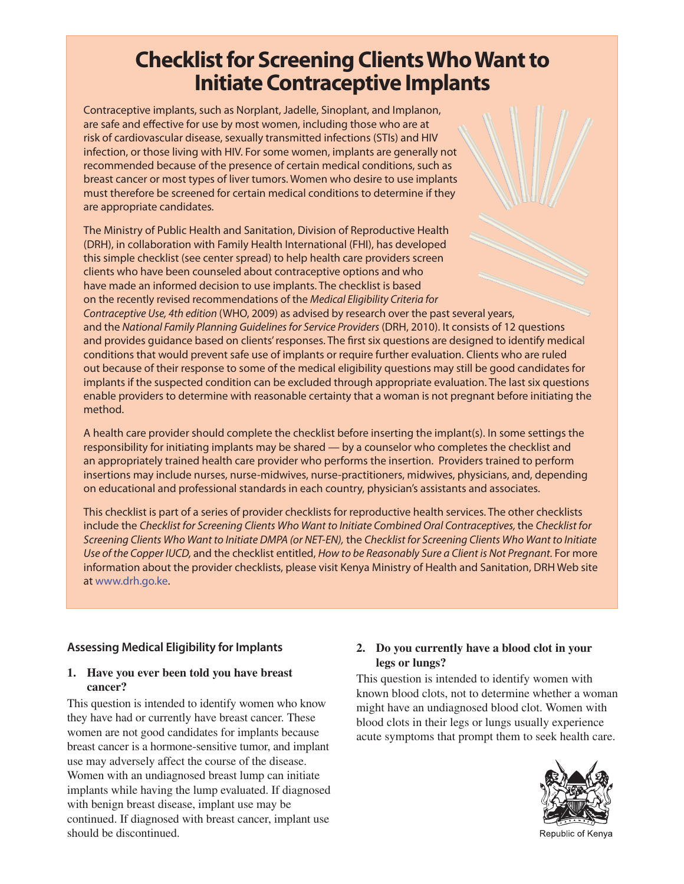# **Checklist for Screening Clients Who Want to**

**Initiate Contraceptive Implants** Contraceptive implants, such as Norplant, Jadelle, Sinoplant, and Implanon, are safe and effective for use by most women, including those who are at risk of cardiovascular disease, sexually transmitted infections (STIs) and HIV infection, or those living with HIV. For some women, implants are generally not recommended because of the presence of certain medical conditions, such as breast cancer or most types of liver tumors. Women who desire to use implants must therefore be screened for certain medical conditions to determine if they are appropriate candidates.

The Ministry of Public Health and Sanitation, Division of Reproductive Health (DRH), in collaboration with Family Health International (FHI), has developed this simple checklist (see center spread) to help health care providers screen clients who have been counseled about contraceptive options and who have made an informed decision to use implants. The checklist is based on the recently revised recommendations of the Medical Eligibility Criteria for

Contraceptive Use, 4th edition (WHO, 2009) as advised by research over the past several years, and the National Family Planning Guidelines for Service Providers (DRH, 2010). It consists of 12 questions and provides guidance based on clients' responses. The first six questions are designed to identify medical conditions that would prevent safe use of implants or require further evaluation. Clients who are ruled out because of their response to some of the medical eligibility questions may still be good candidates for implants if the suspected condition can be excluded through appropriate evaluation. The last six questions enable providers to determine with reasonable certainty that a woman is not pregnant before initiating the method.

A health care provider should complete the checklist before inserting the implant(s). In some settings the responsibility for initiating implants may be shared — by a counselor who completes the checklist and an appropriately trained health care provider who performs the insertion. Providers trained to perform insertions may include nurses, nurse-midwives, nurse-practitioners, midwives, physicians, and, depending on educational and professional standards in each country, physician's assistants and associates.

This checklist is part of a series of provider checklists for reproductive health services. The other checklists include the Checklist for Screening Clients Who Want to Initiate Combined Oral Contraceptives, the Checklist for Screening Clients Who Want to Initiate DMPA (or NET-EN), the Checklist for Screening Clients Who Want to Initiate Use of the Copper IUCD, and the checklist entitled, How to be Reasonably Sure a Client is Not Pregnant. For more information about the provider checklists, please visit Kenya Ministry of Health and Sanitation, DRH Web site at www.drh.go.ke.

## **Assessing Medical Eligibility for Implants**

#### **1. Have you ever been told you have breast cancer?**

This question is intended to identify women who know they have had or currently have breast cancer. These women are not good candidates for implants because breast cancer is a hormone-sensitive tumor, and implant use may adversely affect the course of the disease. Women with an undiagnosed breast lump can initiate implants while having the lump evaluated. If diagnosed with benign breast disease, implant use may be continued. If diagnosed with breast cancer, implant use should be discontinued.

### **2. Do you currently have a blood clot in your legs or lungs?**

This question is intended to identify women with known blood clots, not to determine whether a woman might have an undiagnosed blood clot. Women with blood clots in their legs or lungs usually experience acute symptoms that prompt them to seek health care.



Republic of Kenya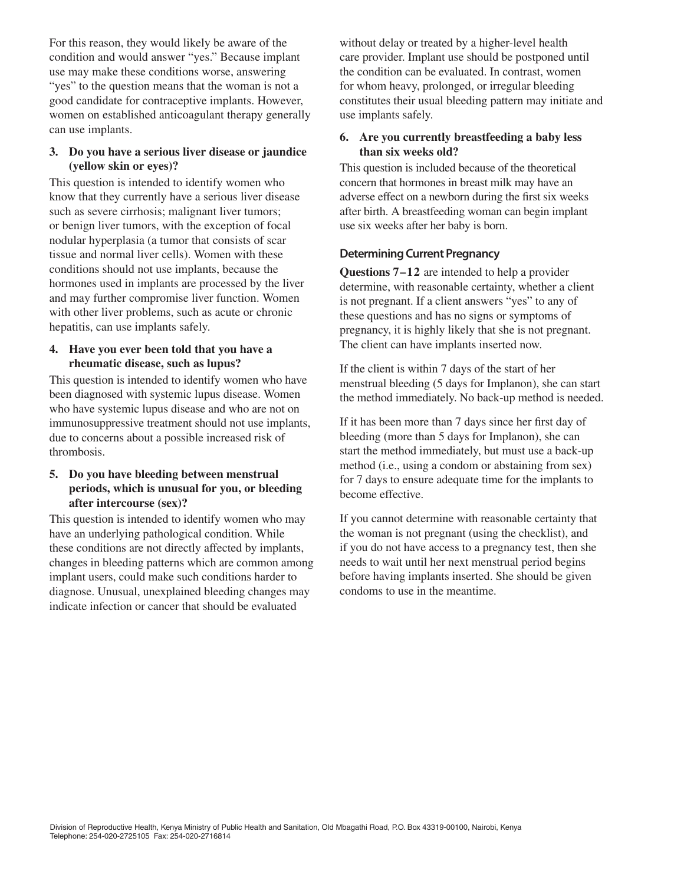For this reason, they would likely be aware of the condition and would answer "yes." Because implant use may make these conditions worse, answering "yes" to the question means that the woman is not a good candidate for contraceptive implants. However, women on established anticoagulant therapy generally can use implants.

#### **3. Do you have a serious liver disease or jaundice (yellow skin or eyes)?**

This question is intended to identify women who know that they currently have a serious liver disease such as severe cirrhosis; malignant liver tumors; or benign liver tumors, with the exception of focal nodular hyperplasia (a tumor that consists of scar tissue and normal liver cells). Women with these conditions should not use implants, because the hormones used in implants are processed by the liver and may further compromise liver function. Women with other liver problems, such as acute or chronic hepatitis, can use implants safely.

#### **4. Have you ever been told that you have a rheumatic disease, such as lupus?**

This question is intended to identify women who have been diagnosed with systemic lupus disease. Women who have systemic lupus disease and who are not on immunosuppressive treatment should not use implants, due to concerns about a possible increased risk of thrombosis.

### **5. Do you have bleeding between menstrual periods, which is unusual for you, or bleeding after intercourse (sex)?**

This question is intended to identify women who may have an underlying pathological condition. While these conditions are not directly affected by implants, changes in bleeding patterns which are common among implant users, could make such conditions harder to diagnose. Unusual, unexplained bleeding changes may indicate infection or cancer that should be evaluated

without delay or treated by a higher-level health care provider. Implant use should be postponed until the condition can be evaluated. In contrast, women for whom heavy, prolonged, or irregular bleeding constitutes their usual bleeding pattern may initiate and use implants safely.

#### **6. Are you currently breastfeeding a baby less than six weeks old?**

This question is included because of the theoretical concern that hormones in breast milk may have an adverse effect on a newborn during the first six weeks after birth. A breastfeeding woman can begin implant use six weeks after her baby is born.

#### **Determining Current Pregnancy**

**Questions 7–12** are intended to help a provider determine, with reasonable certainty, whether a client is not pregnant. If a client answers "yes" to any of these questions and has no signs or symptoms of pregnancy, it is highly likely that she is not pregnant. The client can have implants inserted now.

If the client is within 7 days of the start of her menstrual bleeding (5 days for Implanon), she can start the method immediately. No back-up method is needed.

If it has been more than 7 days since her first day of bleeding (more than 5 days for Implanon), she can start the method immediately, but must use a back-up method (i.e., using a condom or abstaining from sex) for 7 days to ensure adequate time for the implants to become effective.

If you cannot determine with reasonable certainty that the woman is not pregnant (using the checklist), and if you do not have access to a pregnancy test, then she needs to wait until her next menstrual period begins before having implants inserted. She should be given condoms to use in the meantime.